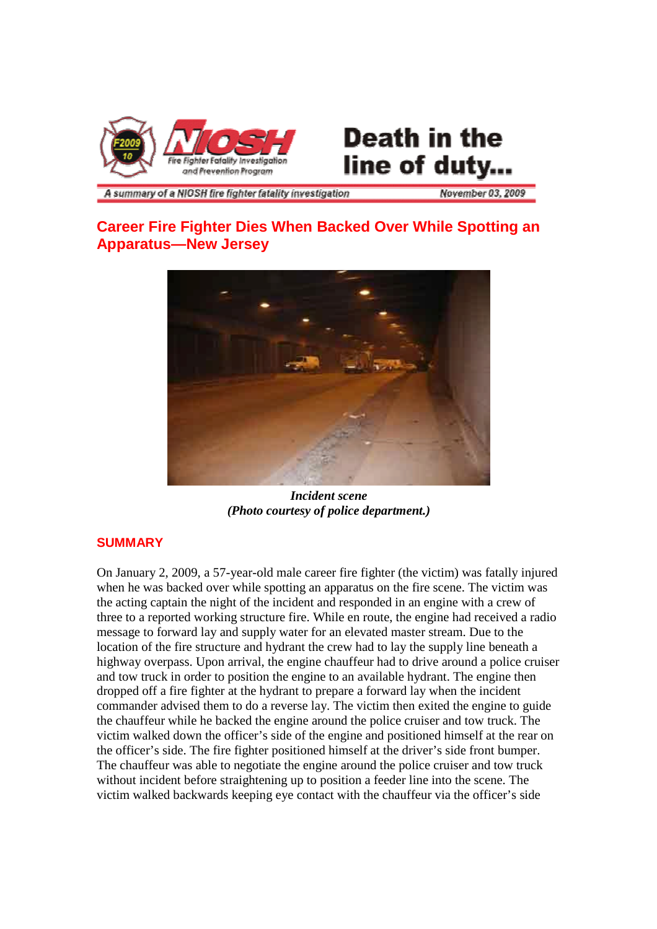

# **Death in the** line of duty...

A summary of a NIOSH fire fighter fatality investigation

**November 03, 2009** 

## **Career Fire Fighter Dies When Backed Over While Spotting an Apparatus—New Jersey**



*Incident scene (Photo courtesy of police department.)*

## **SUMMARY**

On January 2, 2009, a 57-year-old male career fire fighter (the victim) was fatally injured when he was backed over while spotting an apparatus on the fire scene. The victim was the acting captain the night of the incident and responded in an engine with a crew of three to a reported working structure fire. While en route, the engine had received a radio message to forward lay and supply water for an elevated master stream. Due to the location of the fire structure and hydrant the crew had to lay the supply line beneath a highway overpass. Upon arrival, the engine chauffeur had to drive around a police cruiser and tow truck in order to position the engine to an available hydrant. The engine then dropped off a fire fighter at the hydrant to prepare a forward lay when the incident commander advised them to do a reverse lay. The victim then exited the engine to guide the chauffeur while he backed the engine around the police cruiser and tow truck. The victim walked down the officer's side of the engine and positioned himself at the rear on the officer's side. The fire fighter positioned himself at the driver's side front bumper. The chauffeur was able to negotiate the engine around the police cruiser and tow truck without incident before straightening up to position a feeder line into the scene. The victim walked backwards keeping eye contact with the chauffeur via the officer's side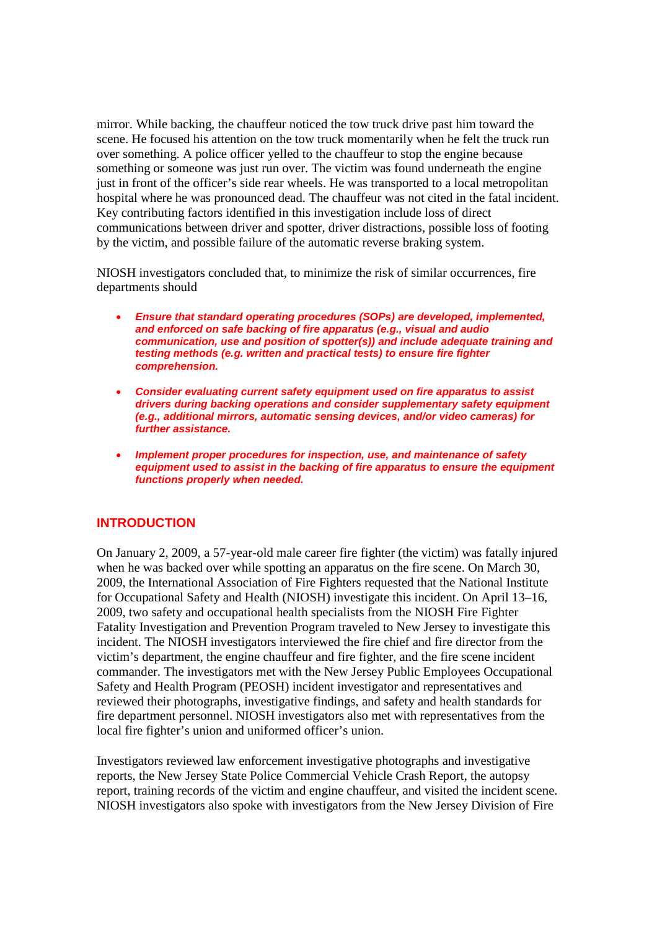mirror. While backing, the chauffeur noticed the tow truck drive past him toward the scene. He focused his attention on the tow truck momentarily when he felt the truck run over something. A police officer yelled to the chauffeur to stop the engine because something or someone was just run over. The victim was found underneath the engine just in front of the officer's side rear wheels. He was transported to a local metropolitan hospital where he was pronounced dead. The chauffeur was not cited in the fatal incident. Key contributing factors identified in this investigation include loss of direct communications between driver and spotter, driver distractions, possible loss of footing by the victim, and possible failure of the automatic reverse braking system.

NIOSH investigators concluded that, to minimize the risk of similar occurrences, fire departments should

- *Ensure that standard operating procedures (SOPs) are developed, implemented, and enforced on safe backing of fire apparatus (e.g., visual and audio communication, use and position of spotter(s)) and include adequate training and testing methods (e.g. written and practical tests) to ensure fire fighter comprehension.*
- *Consider evaluating current safety equipment used on fire apparatus to assist drivers during backing operations and consider supplementary safety equipment (e.g., additional mirrors, automatic sensing devices, and/or video cameras) for further assistance.*
- *Implement proper procedures for inspection, use, and maintenance of safety equipment used to assist in the backing of fire apparatus to ensure the equipment functions properly when needed.*

#### **INTRODUCTION**

On January 2, 2009, a 57-year-old male career fire fighter (the victim) was fatally injured when he was backed over while spotting an apparatus on the fire scene. On March 30, 2009, the International Association of Fire Fighters requested that the National Institute for Occupational Safety and Health (NIOSH) investigate this incident. On April 13–16, 2009, two safety and occupational health specialists from the NIOSH Fire Fighter Fatality Investigation and Prevention Program traveled to New Jersey to investigate this incident. The NIOSH investigators interviewed the fire chief and fire director from the victim's department, the engine chauffeur and fire fighter, and the fire scene incident commander. The investigators met with the New Jersey Public Employees Occupational Safety and Health Program (PEOSH) incident investigator and representatives and reviewed their photographs, investigative findings, and safety and health standards for fire department personnel. NIOSH investigators also met with representatives from the local fire fighter's union and uniformed officer's union.

Investigators reviewed law enforcement investigative photographs and investigative reports, the New Jersey State Police Commercial Vehicle Crash Report, the autopsy report, training records of the victim and engine chauffeur, and visited the incident scene. NIOSH investigators also spoke with investigators from the New Jersey Division of Fire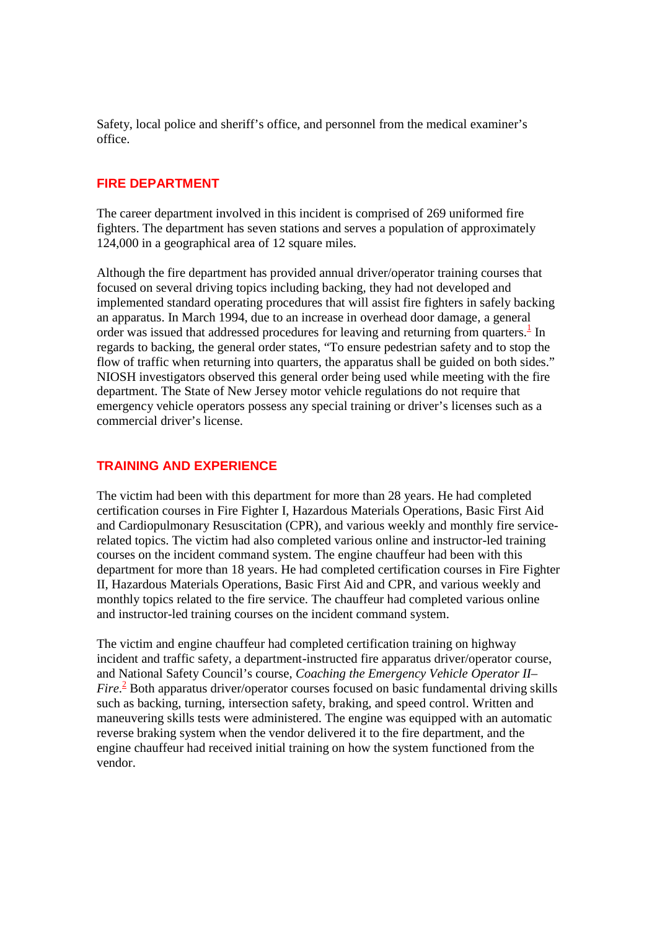Safety, local police and sheriff's office, and personnel from the medical examiner's office.

#### **FIRE DEPARTMENT**

The career department involved in this incident is comprised of 269 uniformed fire fighters. The department has seven stations and serves a population of approximately 124,000 in a geographical area of 12 square miles.

Although the fire department has provided annual driver/operator training courses that focused on several driving topics including backing, they had not developed and implemented standard operating procedures that will assist fire fighters in safely backing an apparatus. In March 1994, due to an increase in overhead door damage, a general order was issued that addressed procedures for leaving and returning from quarters. $<sup>1</sup>$  In</sup> regards to backing, the general order states, "To ensure pedestrian safety and to stop the flow of traffic when returning into quarters, the apparatus shall be guided on both sides." NIOSH investigators observed this general order being used while meeting with the fire department. The State of New Jersey motor vehicle regulations do not require that emergency vehicle operators possess any special training or driver's licenses such as a commercial driver's license.

## **TRAINING AND EXPERIENCE**

The victim had been with this department for more than 28 years. He had completed certification courses in Fire Fighter I, Hazardous Materials Operations, Basic First Aid and Cardiopulmonary Resuscitation (CPR), and various weekly and monthly fire servicerelated topics. The victim had also completed various online and instructor-led training courses on the incident command system. The engine chauffeur had been with this department for more than 18 years. He had completed certification courses in Fire Fighter II, Hazardous Materials Operations, Basic First Aid and CPR, and various weekly and monthly topics related to the fire service. The chauffeur had completed various online and instructor-led training courses on the incident command system.

The victim and engine chauffeur had completed certification training on highway incident and traffic safety, a department-instructed fire apparatus driver/operator course, and National Safety Council's course, *Coaching the Emergency Vehicle Operator II– Fire*. <sup>2</sup> Both apparatus driver/operator courses focused on basic fundamental driving skills such as backing, turning, intersection safety, braking, and speed control. Written and maneuvering skills tests were administered. The engine was equipped with an automatic reverse braking system when the vendor delivered it to the fire department, and the engine chauffeur had received initial training on how the system functioned from the vendor.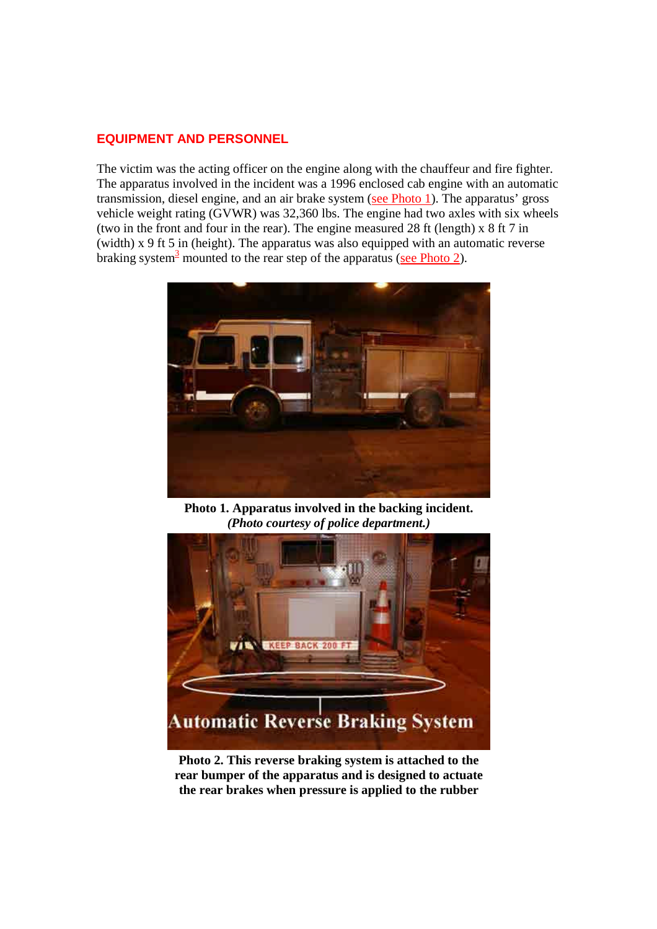#### **EQUIPMENT AND PERSONNEL**

The victim was the acting officer on the engine along with the chauffeur and fire fighter. The apparatus involved in the incident was a 1996 enclosed cab engine with an automatic transmission, diesel engine, and an air brake system (see Photo 1). The apparatus' gross vehicle weight rating (GVWR) was 32,360 lbs. The engine had two axles with six wheels (two in the front and four in the rear). The engine measured 28 ft (length) x 8 ft 7 in (width) x 9 ft 5 in (height). The apparatus was also equipped with an automatic reverse braking system<sup>3</sup> mounted to the rear step of the apparatus (see Photo 2).



**Photo 1. Apparatus involved in the backing incident.** *(Photo courtesy of police department.)*



**Photo 2. This reverse braking system is attached to the rear bumper of the apparatus and is designed to actuate the rear brakes when pressure is applied to the rubber**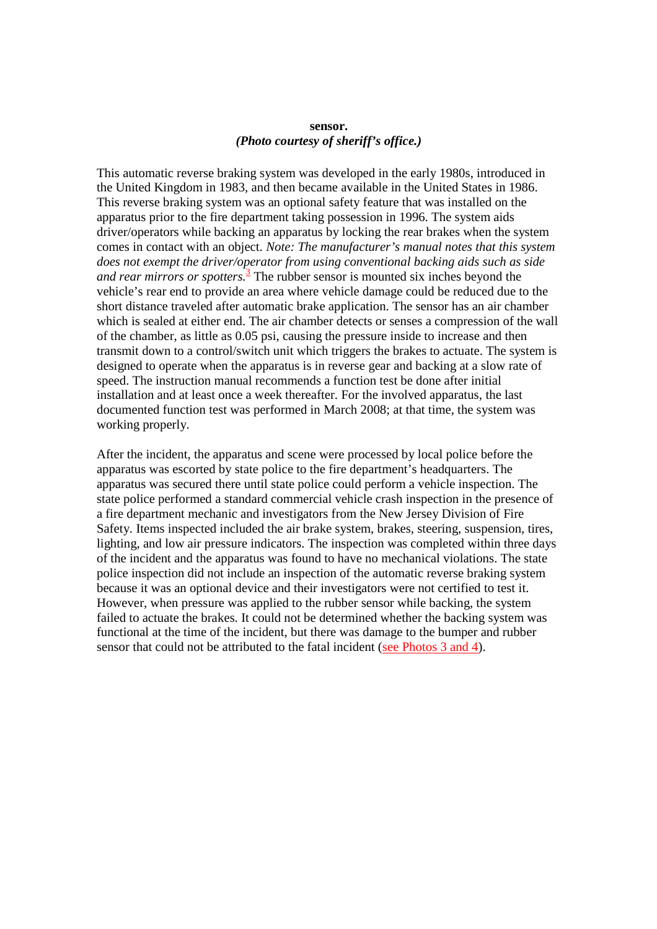#### **sensor.** *(Photo courtesy of sheriff's office.)*

This automatic reverse braking system was developed in the early 1980s, introduced in the United Kingdom in 1983, and then became available in the United States in 1986. This reverse braking system was an optional safety feature that was installed on the apparatus prior to the fire department taking possession in 1996. The system aids driver/operators while backing an apparatus by locking the rear brakes when the system comes in contact with an object. *Note: The manufacturer's manual notes that this system does not exempt the driver/operator from using conventional backing aids such as side and rear mirrors or spotters.*<sup>3</sup> The rubber sensor is mounted six inches beyond the vehicle's rear end to provide an area where vehicle damage could be reduced due to the short distance traveled after automatic brake application. The sensor has an air chamber which is sealed at either end. The air chamber detects or senses a compression of the wall of the chamber, as little as 0.05 psi, causing the pressure inside to increase and then transmit down to a control/switch unit which triggers the brakes to actuate. The system is designed to operate when the apparatus is in reverse gear and backing at a slow rate of speed. The instruction manual recommends a function test be done after initial installation and at least once a week thereafter. For the involved apparatus, the last documented function test was performed in March 2008; at that time, the system was working properly.

After the incident, the apparatus and scene were processed by local police before the apparatus was escorted by state police to the fire department's headquarters. The apparatus was secured there until state police could perform a vehicle inspection. The state police performed a standard commercial vehicle crash inspection in the presence of a fire department mechanic and investigators from the New Jersey Division of Fire Safety. Items inspected included the air brake system, brakes, steering, suspension, tires, lighting, and low air pressure indicators. The inspection was completed within three days of the incident and the apparatus was found to have no mechanical violations. The state police inspection did not include an inspection of the automatic reverse braking system because it was an optional device and their investigators were not certified to test it. However, when pressure was applied to the rubber sensor while backing, the system failed to actuate the brakes. It could not be determined whether the backing system was functional at the time of the incident, but there was damage to the bumper and rubber sensor that could not be attributed to the fatal incident (see Photos 3 and 4).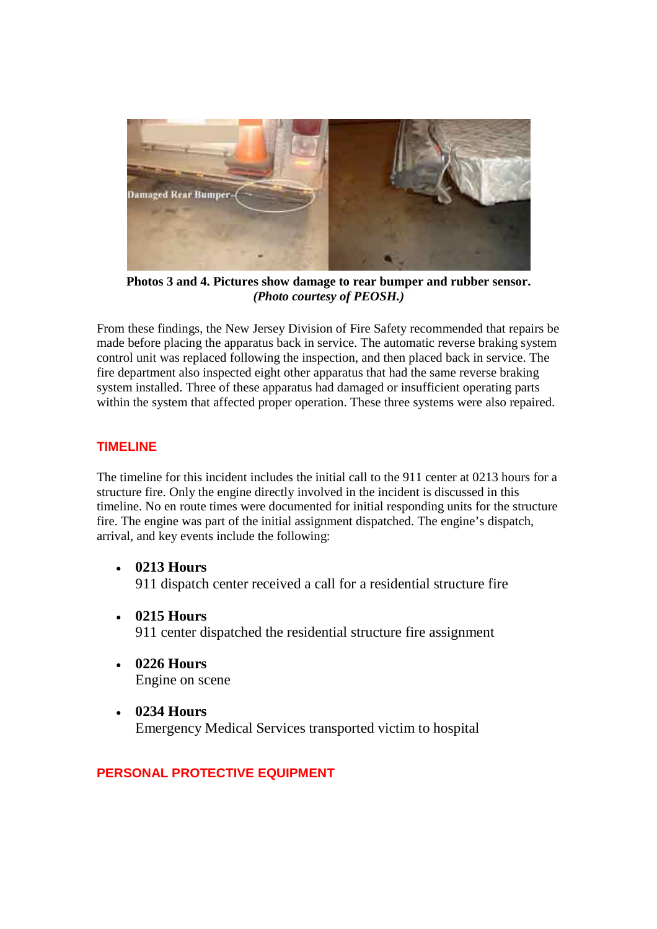

**Photos 3 and 4. Pictures show damage to rear bumper and rubber sensor.** *(Photo courtesy of PEOSH.)*

From these findings, the New Jersey Division of Fire Safety recommended that repairs be made before placing the apparatus back in service. The automatic reverse braking system control unit was replaced following the inspection, and then placed back in service. The fire department also inspected eight other apparatus that had the same reverse braking system installed. Three of these apparatus had damaged or insufficient operating parts within the system that affected proper operation. These three systems were also repaired.

## **TIMELINE**

The timeline for this incident includes the initial call to the 911 center at 0213 hours for a structure fire. Only the engine directly involved in the incident is discussed in this timeline. No en route times were documented for initial responding units for the structure fire. The engine was part of the initial assignment dispatched. The engine's dispatch, arrival, and key events include the following:

- **0213 Hours** 911 dispatch center received a call for a residential structure fire
- **0215 Hours** 911 center dispatched the residential structure fire assignment
- **0226 Hours** Engine on scene
- **0234 Hours** Emergency Medical Services transported victim to hospital

## **PERSONAL PROTECTIVE EQUIPMENT**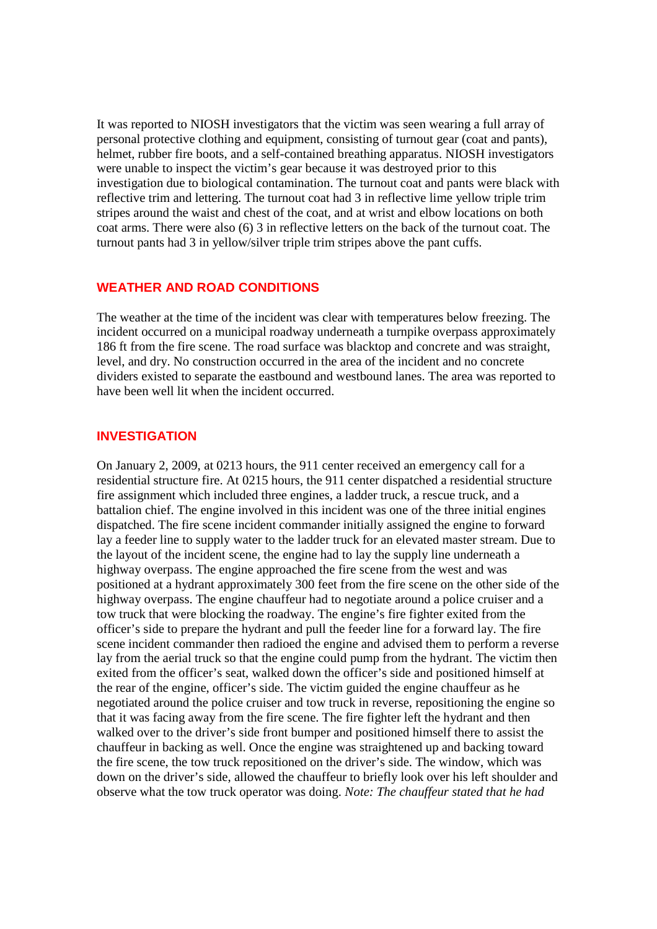It was reported to NIOSH investigators that the victim was seen wearing a full array of personal protective clothing and equipment, consisting of turnout gear (coat and pants), helmet, rubber fire boots, and a self-contained breathing apparatus. NIOSH investigators were unable to inspect the victim's gear because it was destroyed prior to this investigation due to biological contamination. The turnout coat and pants were black with reflective trim and lettering. The turnout coat had 3 in reflective lime yellow triple trim stripes around the waist and chest of the coat, and at wrist and elbow locations on both coat arms. There were also (6) 3 in reflective letters on the back of the turnout coat. The turnout pants had 3 in yellow/silver triple trim stripes above the pant cuffs.

#### **WEATHER AND ROAD CONDITIONS**

The weather at the time of the incident was clear with temperatures below freezing. The incident occurred on a municipal roadway underneath a turnpike overpass approximately 186 ft from the fire scene. The road surface was blacktop and concrete and was straight, level, and dry. No construction occurred in the area of the incident and no concrete dividers existed to separate the eastbound and westbound lanes. The area was reported to have been well lit when the incident occurred.

#### **INVESTIGATION**

On January 2, 2009, at 0213 hours, the 911 center received an emergency call for a residential structure fire. At 0215 hours, the 911 center dispatched a residential structure fire assignment which included three engines, a ladder truck, a rescue truck, and a battalion chief. The engine involved in this incident was one of the three initial engines dispatched. The fire scene incident commander initially assigned the engine to forward lay a feeder line to supply water to the ladder truck for an elevated master stream. Due to the layout of the incident scene, the engine had to lay the supply line underneath a highway overpass. The engine approached the fire scene from the west and was positioned at a hydrant approximately 300 feet from the fire scene on the other side of the highway overpass. The engine chauffeur had to negotiate around a police cruiser and a tow truck that were blocking the roadway. The engine's fire fighter exited from the officer's side to prepare the hydrant and pull the feeder line for a forward lay. The fire scene incident commander then radioed the engine and advised them to perform a reverse lay from the aerial truck so that the engine could pump from the hydrant. The victim then exited from the officer's seat, walked down the officer's side and positioned himself at the rear of the engine, officer's side. The victim guided the engine chauffeur as he negotiated around the police cruiser and tow truck in reverse, repositioning the engine so that it was facing away from the fire scene. The fire fighter left the hydrant and then walked over to the driver's side front bumper and positioned himself there to assist the chauffeur in backing as well. Once the engine was straightened up and backing toward the fire scene, the tow truck repositioned on the driver's side. The window, which was down on the driver's side, allowed the chauffeur to briefly look over his left shoulder and observe what the tow truck operator was doing. *Note: The chauffeur stated that he had*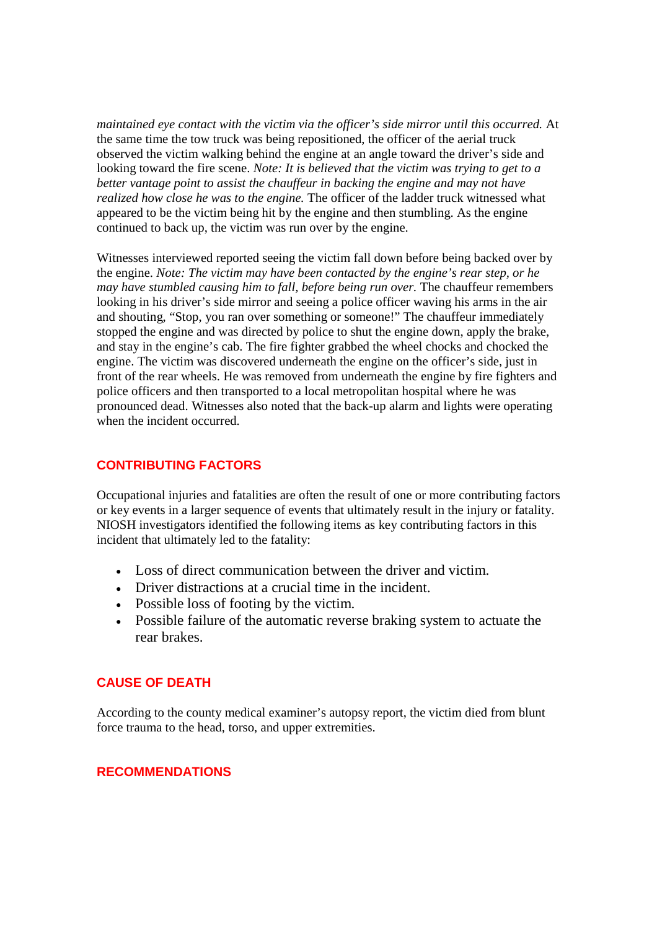*maintained eye contact with the victim via the officer's side mirror until this occurred.* At the same time the tow truck was being repositioned, the officer of the aerial truck observed the victim walking behind the engine at an angle toward the driver's side and looking toward the fire scene. *Note: It is believed that the victim was trying to get to a better vantage point to assist the chauffeur in backing the engine and may not have realized how close he was to the engine.* The officer of the ladder truck witnessed what appeared to be the victim being hit by the engine and then stumbling. As the engine continued to back up, the victim was run over by the engine.

Witnesses interviewed reported seeing the victim fall down before being backed over by the engine. *Note: The victim may have been contacted by the engine's rear step, or he may have stumbled causing him to fall, before being run over.* The chauffeur remembers looking in his driver's side mirror and seeing a police officer waving his arms in the air and shouting, "Stop, you ran over something or someone!" The chauffeur immediately stopped the engine and was directed by police to shut the engine down, apply the brake, and stay in the engine's cab. The fire fighter grabbed the wheel chocks and chocked the engine. The victim was discovered underneath the engine on the officer's side, just in front of the rear wheels. He was removed from underneath the engine by fire fighters and police officers and then transported to a local metropolitan hospital where he was pronounced dead. Witnesses also noted that the back-up alarm and lights were operating when the incident occurred.

## **CONTRIBUTING FACTORS**

Occupational injuries and fatalities are often the result of one or more contributing factors or key events in a larger sequence of events that ultimately result in the injury or fatality. NIOSH investigators identified the following items as key contributing factors in this incident that ultimately led to the fatality:

- Loss of direct communication between the driver and victim.
- Driver distractions at a crucial time in the incident.
- Possible loss of footing by the victim.
- Possible failure of the automatic reverse braking system to actuate the rear brakes.

#### **CAUSE OF DEATH**

According to the county medical examiner's autopsy report, the victim died from blunt force trauma to the head, torso, and upper extremities.

#### **RECOMMENDATIONS**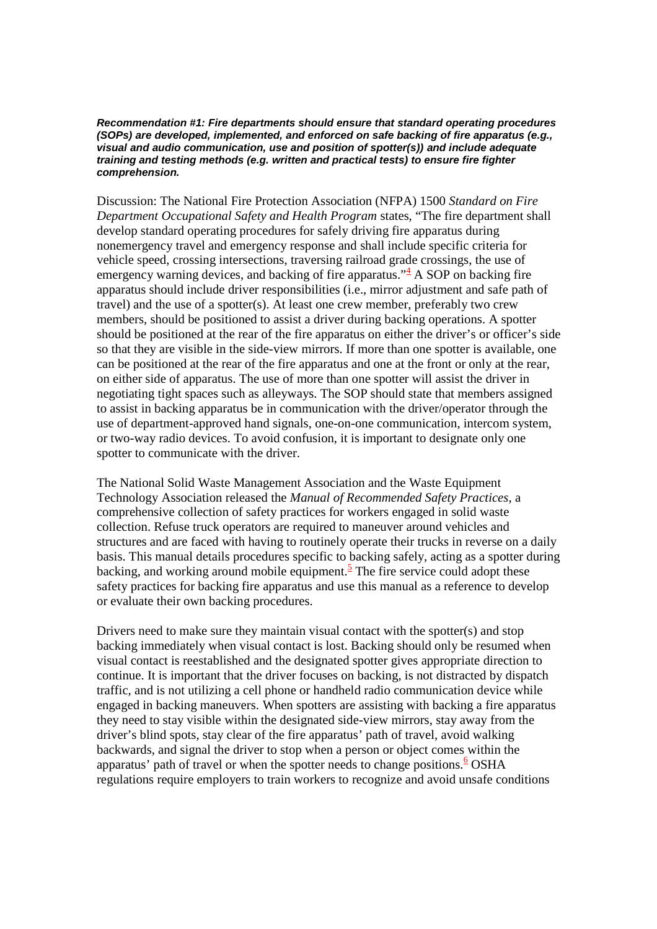*Recommendation #1: Fire departments should ensure that standard operating procedures (SOPs) are developed, implemented, and enforced on safe backing of fire apparatus (e.g., visual and audio communication, use and position of spotter(s)) and include adequate training and testing methods (e.g. written and practical tests) to ensure fire fighter comprehension.*

Discussion: The National Fire Protection Association (NFPA) 1500 *Standard on Fire Department Occupational Safety and Health Program* states, "The fire department shall develop standard operating procedures for safely driving fire apparatus during nonemergency travel and emergency response and shall include specific criteria for vehicle speed, crossing intersections, traversing railroad grade crossings, the use of emergency warning devices, and backing of fire apparatus.<sup> $4$ </sup> A SOP on backing fire apparatus should include driver responsibilities (i.e., mirror adjustment and safe path of travel) and the use of a spotter(s). At least one crew member, preferably two crew members, should be positioned to assist a driver during backing operations. A spotter should be positioned at the rear of the fire apparatus on either the driver's or officer's side so that they are visible in the side-view mirrors. If more than one spotter is available, one can be positioned at the rear of the fire apparatus and one at the front or only at the rear, on either side of apparatus. The use of more than one spotter will assist the driver in negotiating tight spaces such as alleyways. The SOP should state that members assigned to assist in backing apparatus be in communication with the driver/operator through the use of department-approved hand signals, one-on-one communication, intercom system, or two-way radio devices. To avoid confusion, it is important to designate only one spotter to communicate with the driver.

The National Solid Waste Management Association and the Waste Equipment Technology Association released the *Manual of Recommended Safety Practices*, a comprehensive collection of safety practices for workers engaged in solid waste collection. Refuse truck operators are required to maneuver around vehicles and structures and are faced with having to routinely operate their trucks in reverse on a daily basis. This manual details procedures specific to backing safely, acting as a spotter during backing, and working around mobile equipment.<sup>5</sup> The fire service could adopt these safety practices for backing fire apparatus and use this manual as a reference to develop or evaluate their own backing procedures.

Drivers need to make sure they maintain visual contact with the spotter(s) and stop backing immediately when visual contact is lost. Backing should only be resumed when visual contact is reestablished and the designated spotter gives appropriate direction to continue. It is important that the driver focuses on backing, is not distracted by dispatch traffic, and is not utilizing a cell phone or handheld radio communication device while engaged in backing maneuvers. When spotters are assisting with backing a fire apparatus they need to stay visible within the designated side-view mirrors, stay away from the driver's blind spots, stay clear of the fire apparatus' path of travel, avoid walking backwards, and signal the driver to stop when a person or object comes within the apparatus' path of travel or when the spotter needs to change positions.<sup>6</sup> OSHA regulations require employers to train workers to recognize and avoid unsafe conditions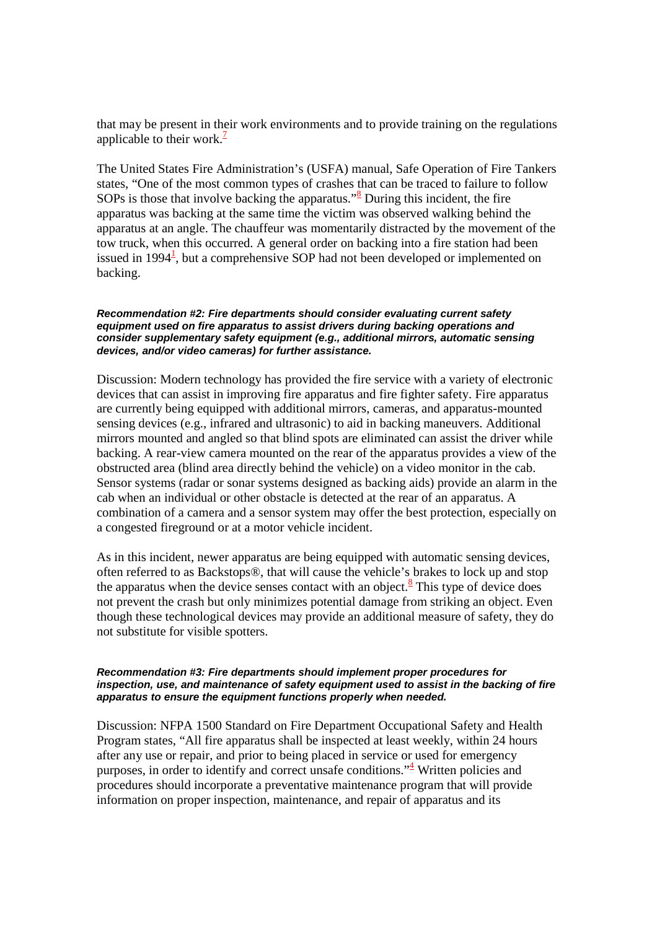that may be present in their work environments and to provide training on the regulations applicable to their work. $\frac{7}{2}$ 

The United States Fire Administration's (USFA) manual, Safe Operation of Fire Tankers states, "One of the most common types of crashes that can be traced to failure to follow SOPs is those that involve backing the apparatus." $\frac{8}{3}$  During this incident, the fire apparatus was backing at the same time the victim was observed walking behind the apparatus at an angle. The chauffeur was momentarily distracted by the movement of the tow truck, when this occurred. A general order on backing into a fire station had been issued in  $1994<sup>1</sup>$ , but a comprehensive SOP had not been developed or implemented on backing.

#### *Recommendation #2: Fire departments should consider evaluating current safety equipment used on fire apparatus to assist drivers during backing operations and consider supplementary safety equipment (e.g., additional mirrors, automatic sensing devices, and/or video cameras) for further assistance.*

Discussion: Modern technology has provided the fire service with a variety of electronic devices that can assist in improving fire apparatus and fire fighter safety. Fire apparatus are currently being equipped with additional mirrors, cameras, and apparatus-mounted sensing devices (e.g., infrared and ultrasonic) to aid in backing maneuvers. Additional mirrors mounted and angled so that blind spots are eliminated can assist the driver while backing. A rear-view camera mounted on the rear of the apparatus provides a view of the obstructed area (blind area directly behind the vehicle) on a video monitor in the cab. Sensor systems (radar or sonar systems designed as backing aids) provide an alarm in the cab when an individual or other obstacle is detected at the rear of an apparatus. A combination of a camera and a sensor system may offer the best protection, especially on a congested fireground or at a motor vehicle incident.

As in this incident, newer apparatus are being equipped with automatic sensing devices, often referred to as Backstops®, that will cause the vehicle's brakes to lock up and stop the apparatus when the device senses contact with an object. $8$  This type of device does not prevent the crash but only minimizes potential damage from striking an object. Even though these technological devices may provide an additional measure of safety, they do not substitute for visible spotters.

#### *Recommendation #3: Fire departments should implement proper procedures for inspection, use, and maintenance of safety equipment used to assist in the backing of fire apparatus to ensure the equipment functions properly when needed.*

Discussion: NFPA 1500 Standard on Fire Department Occupational Safety and Health Program states, "All fire apparatus shall be inspected at least weekly, within 24 hours after any use or repair, and prior to being placed in service or used for emergency purposes, in order to identify and correct unsafe conditions.<sup> $\frac{1}{4}$ </sup> Written policies and procedures should incorporate a preventative maintenance program that will provide information on proper inspection, maintenance, and repair of apparatus and its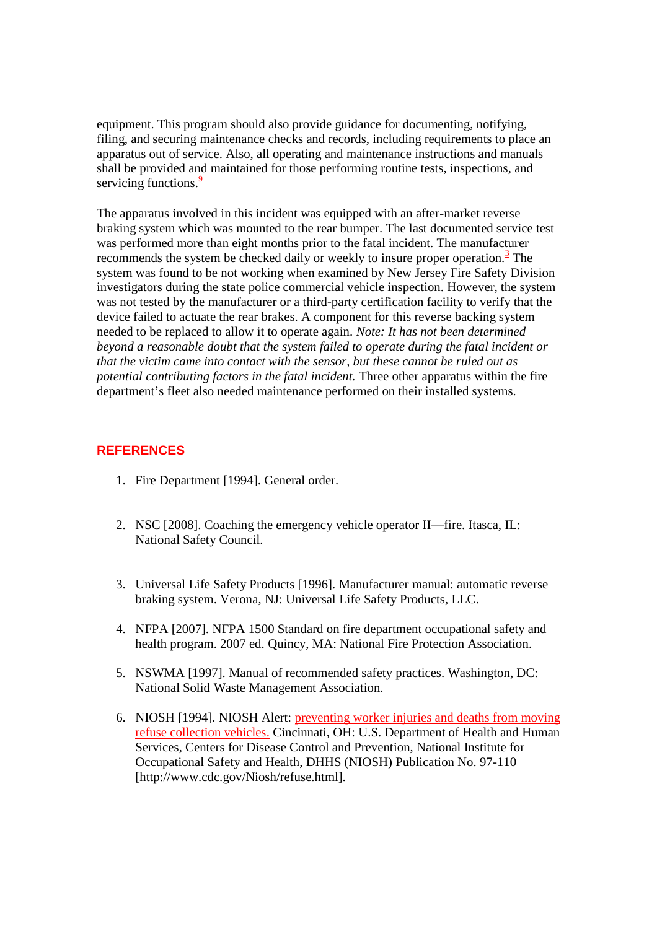equipment. This program should also provide guidance for documenting, notifying, filing, and securing maintenance checks and records, including requirements to place an apparatus out of service. Also, all operating and maintenance instructions and manuals shall be provided and maintained for those performing routine tests, inspections, and servicing functions. $\frac{9}{2}$ 

The apparatus involved in this incident was equipped with an after-market reverse braking system which was mounted to the rear bumper. The last documented service test was performed more than eight months prior to the fatal incident. The manufacturer recommends the system be checked daily or weekly to insure proper operation.<sup>3</sup> The system was found to be not working when examined by New Jersey Fire Safety Division investigators during the state police commercial vehicle inspection. However, the system was not tested by the manufacturer or a third-party certification facility to verify that the device failed to actuate the rear brakes. A component for this reverse backing system needed to be replaced to allow it to operate again. *Note: It has not been determined beyond a reasonable doubt that the system failed to operate during the fatal incident or that the victim came into contact with the sensor, but these cannot be ruled out as potential contributing factors in the fatal incident.* Three other apparatus within the fire department's fleet also needed maintenance performed on their installed systems.

## **REFERENCES**

- 1. Fire Department [1994]. General order.
- 2. NSC [2008]. Coaching the emergency vehicle operator II—fire. Itasca, IL: National Safety Council.
- 3. Universal Life Safety Products [1996]. Manufacturer manual: automatic reverse braking system. Verona, NJ: Universal Life Safety Products, LLC.
- 4. NFPA [2007]. NFPA 1500 Standard on fire department occupational safety and health program. 2007 ed. Quincy, MA: National Fire Protection Association.
- 5. NSWMA [1997]. Manual of recommended safety practices. Washington, DC: National Solid Waste Management Association.
- 6. NIOSH [1994]. NIOSH Alert: preventing worker injuries and deaths from moving refuse collection vehicles. Cincinnati, OH: U.S. Department of Health and Human Services, Centers for Disease Control and Prevention, National Institute for Occupational Safety and Health, DHHS (NIOSH) Publication No. 97-110 [http://www.cdc.gov/Niosh/refuse.html].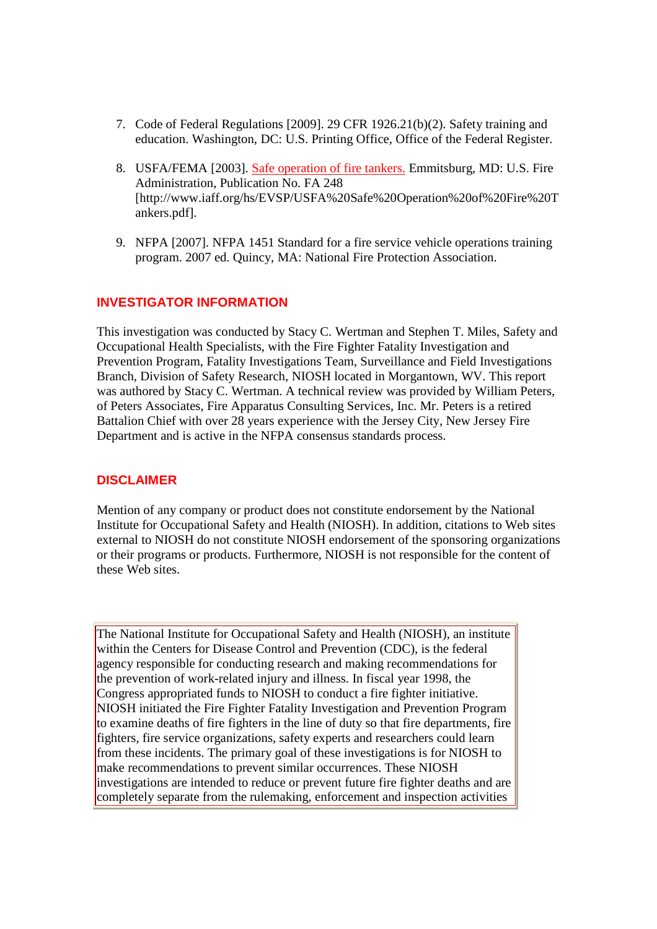- 7. Code of Federal Regulations [2009]. 29 CFR 1926.21(b)(2). Safety training and education. Washington, DC: U.S. Printing Office, Office of the Federal Register.
- 8. USFA/FEMA [2003]. Safe operation of fire tankers. Emmitsburg, MD: U.S. Fire Administration, Publication No. FA 248 [http://www.iaff.org/hs/EVSP/USFA%20Safe%20Operation%20of%20Fire%20T ankers.pdf].
- 9. NFPA [2007]. NFPA 1451 Standard for a fire service vehicle operations training program. 2007 ed. Quincy, MA: National Fire Protection Association.

## **INVESTIGATOR INFORMATION**

This investigation was conducted by Stacy C. Wertman and Stephen T. Miles, Safety and Occupational Health Specialists, with the Fire Fighter Fatality Investigation and Prevention Program, Fatality Investigations Team, Surveillance and Field Investigations Branch, Division of Safety Research, NIOSH located in Morgantown, WV. This report was authored by Stacy C. Wertman. A technical review was provided by William Peters, of Peters Associates, Fire Apparatus Consulting Services, Inc. Mr. Peters is a retired Battalion Chief with over 28 years experience with the Jersey City, New Jersey Fire Department and is active in the NFPA consensus standards process.

#### **DISCLAIMER**

Mention of any company or product does not constitute endorsement by the National Institute for Occupational Safety and Health (NIOSH). In addition, citations to Web sites external to NIOSH do not constitute NIOSH endorsement of the sponsoring organizations or their programs or products. Furthermore, NIOSH is not responsible for the content of these Web sites.

The National Institute for Occupational Safety and Health (NIOSH), an institute within the Centers for Disease Control and Prevention (CDC), is the federal agency responsible for conducting research and making recommendations for the prevention of work-related injury and illness. In fiscal year 1998, the Congress appropriated funds to NIOSH to conduct a fire fighter initiative. NIOSH initiated the Fire Fighter Fatality Investigation and Prevention Program to examine deaths of fire fighters in the line of duty so that fire departments, fire fighters, fire service organizations, safety experts and researchers could learn from these incidents. The primary goal of these investigations is for NIOSH to make recommendations to prevent similar occurrences. These NIOSH investigations are intended to reduce or prevent future fire fighter deaths and are completely separate from the rulemaking, enforcement and inspection activities